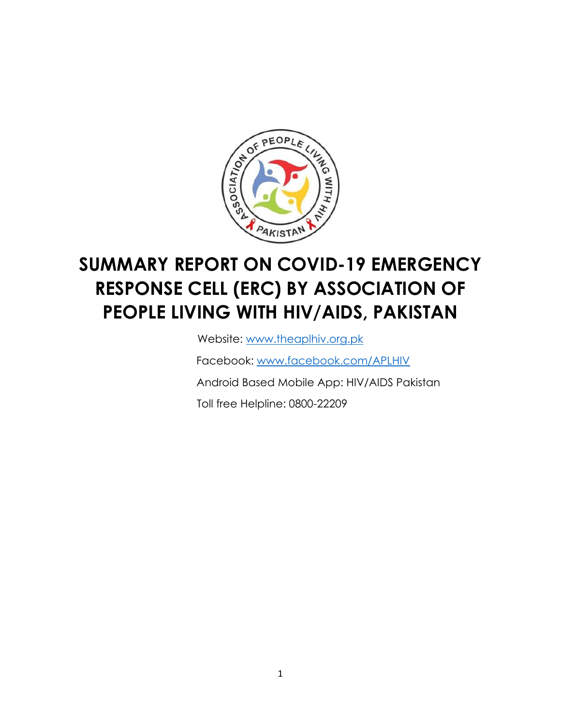

# **SUMMARY REPORT ON COVID-19 EMERGENCY RESPONSE CELL (ERC) BY ASSOCIATION OF PEOPLE LIVING WITH HIV/AIDS, PAKISTAN**

Website: [www.theaplhiv.org.pk](http://www.theaplhiv.org.pk/) 

Facebook: [www.facebook.com/APLHIV](http://www.facebook.com/APLHIV)

Android Based Mobile App: HIV/AIDS Pakistan

Toll free Helpline: 0800-22209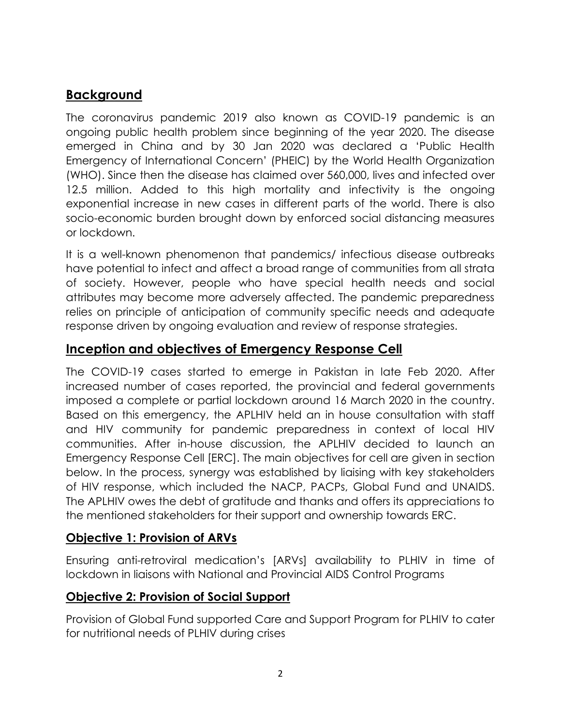## **Background**

The coronavirus pandemic 2019 also known as COVID-19 pandemic is an ongoing public health problem since beginning of the year 2020. The disease emerged in China and by 30 Jan 2020 was declared a 'Public Health Emergency of International Concern' (PHEIC) by the World Health Organization (WHO). Since then the disease has claimed over 560,000, lives and infected over 12.5 million. Added to this high mortality and infectivity is the ongoing exponential increase in new cases in different parts of the world. There is also socio-economic burden brought down by enforced social distancing measures or lockdown.

It is a well-known phenomenon that pandemics/ infectious disease outbreaks have potential to infect and affect a broad range of communities from all strata of society. However, people who have special health needs and social attributes may become more adversely affected. The pandemic preparedness relies on principle of anticipation of community specific needs and adequate response driven by ongoing evaluation and review of response strategies.

#### **Inception and objectives of Emergency Response Cell**

The COVID-19 cases started to emerge in Pakistan in late Feb 2020. After increased number of cases reported, the provincial and federal governments imposed a complete or partial lockdown around 16 March 2020 in the country. Based on this emergency, the APLHIV held an in house consultation with staff and HIV community for pandemic preparedness in context of local HIV communities. After in-house discussion, the APLHIV decided to launch an Emergency Response Cell [ERC]. The main objectives for cell are given in section below. In the process, synergy was established by liaising with key stakeholders of HIV response, which included the NACP, PACPs, Global Fund and UNAIDS. The APLHIV owes the debt of gratitude and thanks and offers its appreciations to the mentioned stakeholders for their support and ownership towards ERC.

#### **Objective 1: Provision of ARVs**

Ensuring anti-retroviral medication's [ARVs] availability to PLHIV in time of lockdown in liaisons with National and Provincial AIDS Control Programs

#### **Objective 2: Provision of Social Support**

Provision of Global Fund supported Care and Support Program for PLHIV to cater for nutritional needs of PLHIV during crises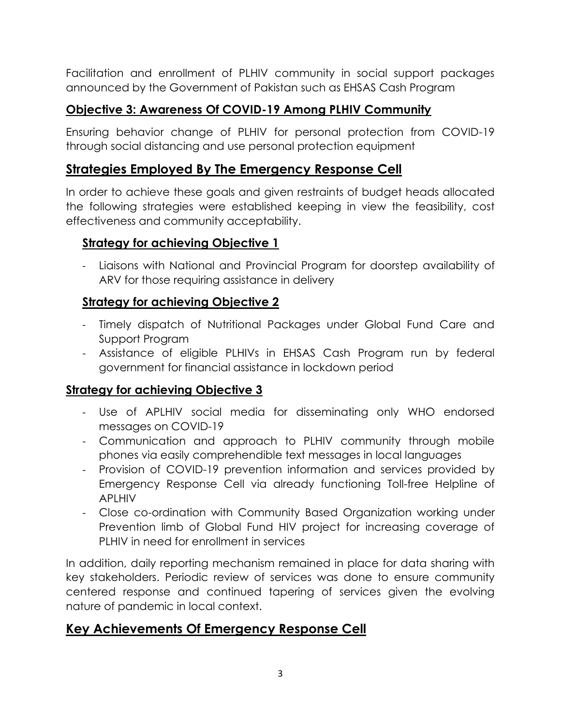Facilitation and enrollment of PLHIV community in social support packages announced by the Government of Pakistan such as EHSAS Cash Program

### **Objective 3: Awareness Of COVID-19 Among PLHIV Community**

Ensuring behavior change of PLHIV for personal protection from COVID-19 through social distancing and use personal protection equipment

#### **Strategies Employed By The Emergency Response Cell**

In order to achieve these goals and given restraints of budget heads allocated the following strategies were established keeping in view the feasibility, cost effectiveness and community acceptability.

#### **Strategy for achieving Objective 1**

- Liaisons with National and Provincial Program for doorstep availability of ARV for those requiring assistance in delivery

#### **Strategy for achieving Objective 2**

- Timely dispatch of Nutritional Packages under Global Fund Care and Support Program
- Assistance of eligible PLHIVs in EHSAS Cash Program run by federal government for financial assistance in lockdown period

#### **Strategy for achieving Objective 3**

- Use of APLHIV social media for disseminating only WHO endorsed messages on COVID-19
- Communication and approach to PLHIV community through mobile phones via easily comprehendible text messages in local languages
- Provision of COVID-19 prevention information and services provided by Emergency Response Cell via already functioning Toll-free Helpline of APLHIV
- Close co-ordination with Community Based Organization working under Prevention limb of Global Fund HIV project for increasing coverage of PLHIV in need for enrollment in services

In addition, daily reporting mechanism remained in place for data sharing with key stakeholders. Periodic review of services was done to ensure community centered response and continued tapering of services given the evolving nature of pandemic in local context.

#### **Key Achievements Of Emergency Response Cell**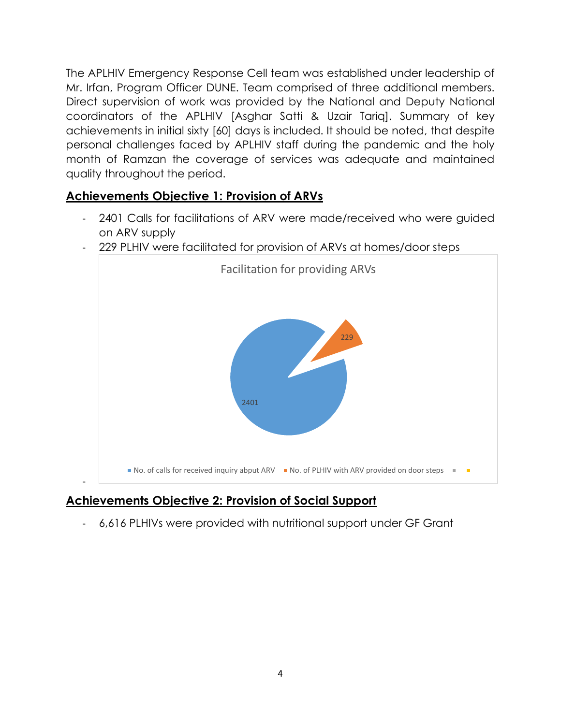The APLHIV Emergency Response Cell team was established under leadership of Mr. Irfan, Program Officer DUNE. Team comprised of three additional members. Direct supervision of work was provided by the National and Deputy National coordinators of the APLHIV [Asghar Satti & Uzair Tariq]. Summary of key achievements in initial sixty [60] days is included. It should be noted, that despite personal challenges faced by APLHIV staff during the pandemic and the holy month of Ramzan the coverage of services was adequate and maintained quality throughout the period.

#### **Achievements Objective 1: Provision of ARVs**

- 2401 Calls for facilitations of ARV were made/received who were guided on ARV supply



- 229 PLHIV were facilitated for provision of ARVs at homes/door steps

## **Achievements Objective 2: Provision of Social Support**

- 6,616 PLHIVs were provided with nutritional support under GF Grant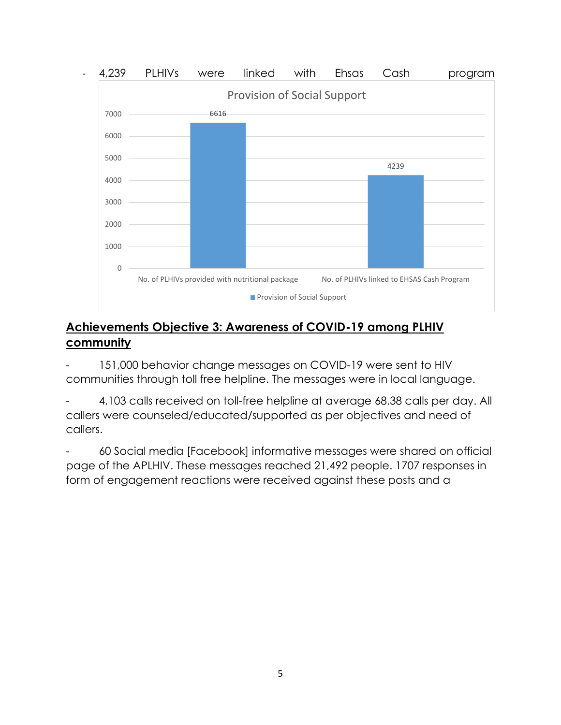

#### **Achievements Objective 3: Awareness of COVID-19 among PLHIV community**

- 151,000 behavior change messages on COVID-19 were sent to HIV communities through toll free helpline. The messages were in local language.

4,103 calls received on toll-free helpline at average 68.38 calls per day. All callers were counseled/educated/supported as per objectives and need of callers.

- 60 Social media [Facebook] informative messages were shared on official page of the APLHIV. These messages reached 21,492 people. 1707 responses in form of engagement reactions were received against these posts and a